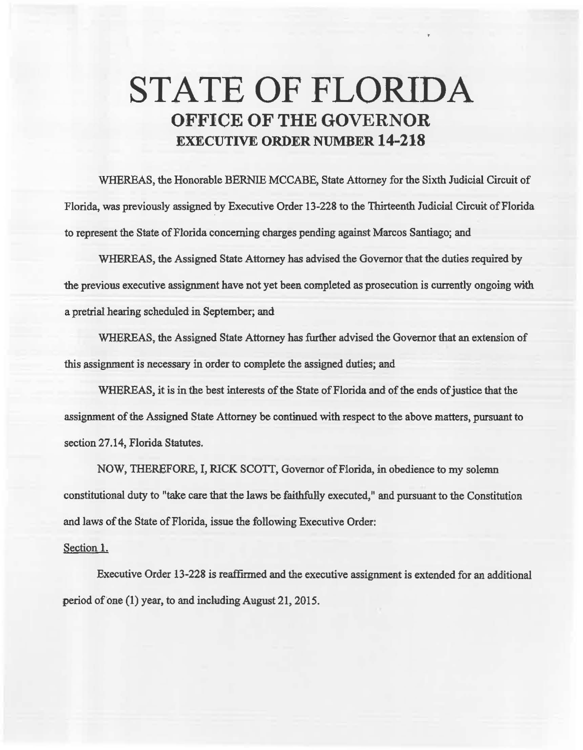## **STATE OF FLORIDA OFFICE OF THE GOVERNOR EXECUTIVE ORDER NUMBER 14-218**

WHEREAS, the Honorable BERNIE MCCABE, State Attorney for the Sixth Judicial Circuit of Florida, was previously assigned by Executive Order 13-228 to the Thirteenth Judicial Circuit of Florida to represent the State of Florida concerning charges pending against Marcos Santiago; and

WHEREAS, the Assigned State Attorney has advised the Governor that the duties required by the previous executive assignment have not yet been completed as prosecution is currently ongoing with a pretrial hearing scheduled in. September; and

WHEREAS, the Assigned State Attorney has further advised the Governor that an extension of this assignment is necessary in order to complete the assigned duties; and

WHEREAS, it is in the best interests of the State of Florida and of the ends of justice that the assignment of the Assigned State Attorney be continued with respect to the above matters, pursuant to section 27.14, Florida Statutes.

NOW, THEREFORE, I, RICK SCOTT, Governor of Florida, in obedience to my solemn constitutional duty to "take care that the laws be faithfully executed," and pursuant to the Constitution and laws of the State of Florida, issue the following Executive Order:

## Section 1.

Executive Order 13-228 is reaffirmed and the executive assignment is extended for an additional period of one (1) year, to and including August 21, 2015.